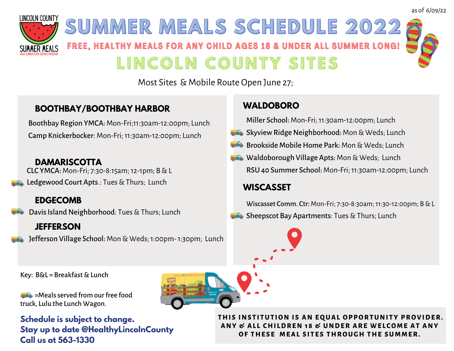

# **SUMMER MEALS SCHEDULE 2022** FREE, HEALTHY MEALS FOR ANY CHILD AGES 18 & UNDER ALL SUMMER LONG! **L I N C O L N C O U N T Y SI T ES**

Most Sites & Mobile Route Open June 27;

## **BOOTHBAY/BOOTHBAY HARBOR**

Boothbay Region YMCA: Mon-Fri;11:30am-12:00pm; Lunch Camp Knickerbocker: Mon-Fri;11:30am-12:00pm; Lunch

### **DAMARISCOTTA**

CLC YMCA: Mon-Fri; 7:30-8:15am;12-1pm; B&L Ledgewood Court Apts.: Tues & Thurs; Lunch

# **EDGECOMB**

## **JEFFERSON**

Jefferson Village School: Mon& Weds;1:00pm-1:30pm; Lunch

## **WALDOBORO**

Miller School: Mon-Fri; 11:30am-12:00pm; Lunch

- Skyview Ridge Neighborhood: Mon & Weds; Lunch
- **Brookside Mobile Home Park: Mon & Weds: Lunch**
- **Waldoborough Village Apts:** Mon & Weds; Lunch RSU 40 Summer School: Mon-Fri;11:30am-12:00pm; Lunch

## **WISCASSET**

Wiscasset Comm. Ctr: Mon-Fri; 7:30-8:30am;11:30-12:00pm; B&L Sheepscot Bay Apartments: Tues & Thurs; Lunch Davis Island Neighborhood: Tues & Thurs; Lunch Davis Intervention



Key: B&L = Breakfast & Lunch

 $\blacktriangleright$  =Meals served from our free food truck, Lulu the Lunch Wagon.

**Schedule is subject to change. Stay up to date @HealthyLincolnCounty Call us at 563-1330**

**THI S INS T I TUT ION I S AN EQUAL OPPORTUNI TY PROVIDER. ANY & AL L CHI LDREN 1 8 & UNDER ARE WE L CO M E AT ANY OF THE S E M EAL S I T E S THROUGH THE SU M M ER.**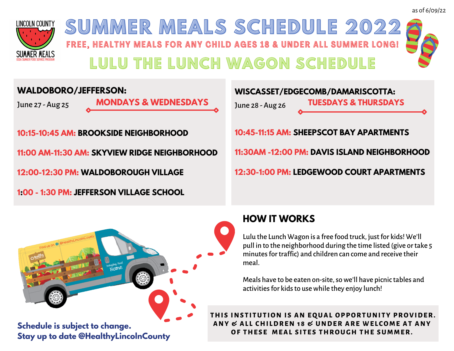

FREE, HEALTHY MEALS FOR ANY CHILD AGES 18 & UNDER ALL SUMMER LONG! **SUMMER MEALS SCHEDULE 2022 LULU THE LUNCH WAGON SCHEDULE**

### **WALDOBORO/JEFFERSON:**

June 27 - Aug 25

**MONDAYS & WEDNESDAYS**

**10:15-10:45 AM: BROOKSIDE NEIGHBORHOOD 11:00 AM-11:30 AM: SKYVIEW RIDGE NEIGHBORHOOD 12:00-12:30 PM: WALDOBOROUGH VILLAGE 1:00 - 1:30 PM: JEFFERSON VILLAGE SCHOOL**





**Stay up to date @HealthyLincolnCounty**

# **HOW IT WORKS**

Lulu the Lunch Wagon is a free food truck, justfor kids! We'll pull in to the neighborhood during the time listed (give ortake 5 minutes for traffic) and children can come and receive their meal.

Meals have to be eaten on-site, so we'll have picnic tables and activities for kids to use while they enjoy lunch!

**THI S INS T I TUT ION I S AN EQUAL OPPORTUNI TY PROVIDER. ANY & AL L CHI LDREN 1 8 & UNDER ARE WE L CO M E AT ANY OF THE S E M EAL S I T E S THROUGH THE SU M M ER.**